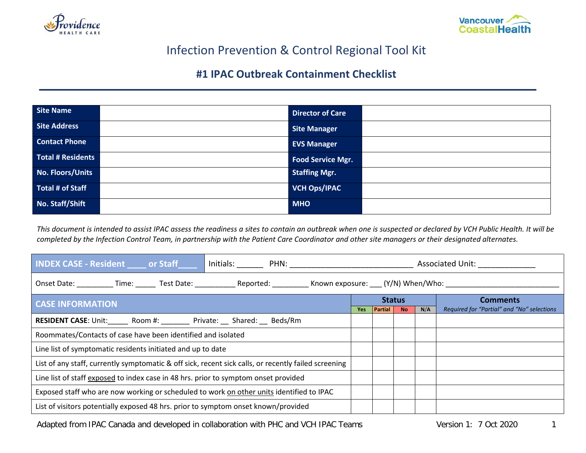



## Infection Prevention & Control Regional Tool Kit

## **#1 IPAC Outbreak Containment Checklist**

| Site Name            | <b>Director of Care</b>  |  |
|----------------------|--------------------------|--|
| Site Address         | <b>Site Manager</b>      |  |
| <b>Contact Phone</b> | <b>EVS Manager</b>       |  |
| Total # Residents    | <b>Food Service Mgr.</b> |  |
| No. Floors/Units     | <b>Staffing Mgr.</b>     |  |
| Total # of Staff     | <b>VCH Ops/IPAC</b>      |  |
| No. Staff/Shift      | <b>MHO</b>               |  |

*This document is intended to assist IPAC assess the readiness a sites to contain an outbreak when one is suspected or declared by VCH Public Health. It will be completed by the Infection Control Team, in partnership with the Patient Care Coordinator and other site managers or their designated alternates.* 

| <b>INDEX CASE - Resident or Staff</b>                                                                                                  |  | Associated Unit: |                |           |     |                                            |
|----------------------------------------------------------------------------------------------------------------------------------------|--|------------------|----------------|-----------|-----|--------------------------------------------|
| Onset Date: ___________ Time: _______ Test Date: _____________ Reported: ___________ Known exposure: ____ (Y/N) When/Who: ____________ |  |                  |                |           |     |                                            |
| <b>CASE INFORMATION</b>                                                                                                                |  |                  | <b>Status</b>  |           |     | <b>Comments</b>                            |
|                                                                                                                                        |  | <b>Yes</b>       | <b>Partial</b> | <b>No</b> | N/A | Required for "Partial" and "No" selections |
| RESIDENT CASE: Unit:_______ Room #: _________ Private: ___ Shared: ___ Beds/Rm                                                         |  |                  |                |           |     |                                            |
| Roommates/Contacts of case have been identified and isolated                                                                           |  |                  |                |           |     |                                            |
| Line list of symptomatic residents initiated and up to date                                                                            |  |                  |                |           |     |                                            |
| List of any staff, currently symptomatic & off sick, recent sick calls, or recently failed screening                                   |  |                  |                |           |     |                                            |
| Line list of staff exposed to index case in 48 hrs. prior to symptom onset provided                                                    |  |                  |                |           |     |                                            |
| Exposed staff who are now working or scheduled to work on other units identified to IPAC                                               |  |                  |                |           |     |                                            |
| List of visitors potentially exposed 48 hrs. prior to symptom onset known/provided                                                     |  |                  |                |           |     |                                            |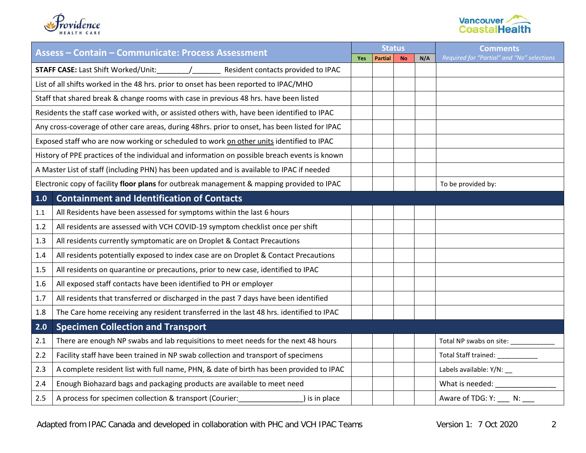



| <b>Assess - Contain - Communicate: Process Assessment</b> |                                                                                                |     | <b>Status</b>  |           |     | <b>Comments</b>                            |
|-----------------------------------------------------------|------------------------------------------------------------------------------------------------|-----|----------------|-----------|-----|--------------------------------------------|
|                                                           |                                                                                                | Yes | <b>Partial</b> | <b>No</b> | N/A | Required for "Partial" and "No" selections |
|                                                           | <b>STAFF CASE:</b> Last Shift Worked/Unit: // Resident contacts provided to IPAC               |     |                |           |     |                                            |
|                                                           | List of all shifts worked in the 48 hrs. prior to onset has been reported to IPAC/MHO          |     |                |           |     |                                            |
|                                                           | Staff that shared break & change rooms with case in previous 48 hrs. have been listed          |     |                |           |     |                                            |
|                                                           | Residents the staff case worked with, or assisted others with, have been identified to IPAC    |     |                |           |     |                                            |
|                                                           | Any cross-coverage of other care areas, during 48hrs. prior to onset, has been listed for IPAC |     |                |           |     |                                            |
|                                                           | Exposed staff who are now working or scheduled to work on other units identified to IPAC       |     |                |           |     |                                            |
|                                                           | History of PPE practices of the individual and information on possible breach events is known  |     |                |           |     |                                            |
|                                                           | A Master List of staff (including PHN) has been updated and is available to IPAC if needed     |     |                |           |     |                                            |
|                                                           | Electronic copy of facility floor plans for outbreak management & mapping provided to IPAC     |     |                |           |     | To be provided by:                         |
| 1.0                                                       | <b>Containment and Identification of Contacts</b>                                              |     |                |           |     |                                            |
| 1.1                                                       | All Residents have been assessed for symptoms within the last 6 hours                          |     |                |           |     |                                            |
| 1.2                                                       | All residents are assessed with VCH COVID-19 symptom checklist once per shift                  |     |                |           |     |                                            |
| 1.3                                                       | All residents currently symptomatic are on Droplet & Contact Precautions                       |     |                |           |     |                                            |
| 1.4                                                       | All residents potentially exposed to index case are on Droplet & Contact Precautions           |     |                |           |     |                                            |
| 1.5                                                       | All residents on quarantine or precautions, prior to new case, identified to IPAC              |     |                |           |     |                                            |
| 1.6                                                       | All exposed staff contacts have been identified to PH or employer                              |     |                |           |     |                                            |
| 1.7                                                       | All residents that transferred or discharged in the past 7 days have been identified           |     |                |           |     |                                            |
| 1.8                                                       | The Care home receiving any resident transferred in the last 48 hrs. identified to IPAC        |     |                |           |     |                                            |
| 2.0                                                       | <b>Specimen Collection and Transport</b>                                                       |     |                |           |     |                                            |
| 2.1                                                       | There are enough NP swabs and lab requisitions to meet needs for the next 48 hours             |     |                |           |     | Total NP swabs on site: ______             |
| 2.2                                                       | Facility staff have been trained in NP swab collection and transport of specimens              |     |                |           |     | Total Staff trained: ______                |
| 2.3                                                       | A complete resident list with full name, PHN, & date of birth has been provided to IPAC        |     |                |           |     | Labels available: Y/N: __                  |
| 2.4                                                       | Enough Biohazard bags and packaging products are available to meet need                        |     |                |           |     | What is needed:                            |
| 2.5                                                       | A process for specimen collection & transport (Courier:<br>) is in place                       |     |                |           |     | Aware of TDG: Y: _____ N:                  |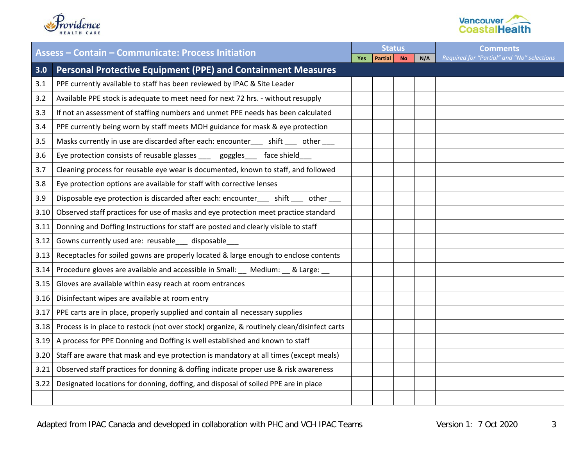



| <b>Assess - Contain - Communicate: Process Initiation</b> |                                                                                             |     | <b>Status</b>  |           |     | <b>Comments</b>                            |
|-----------------------------------------------------------|---------------------------------------------------------------------------------------------|-----|----------------|-----------|-----|--------------------------------------------|
|                                                           |                                                                                             | Yes | <b>Partial</b> | <b>No</b> | N/A | Required for "Partial" and "No" selections |
| 3.0                                                       | <b>Personal Protective Equipment (PPE) and Containment Measures</b>                         |     |                |           |     |                                            |
| 3.1                                                       | PPE currently available to staff has been reviewed by IPAC & Site Leader                    |     |                |           |     |                                            |
| 3.2                                                       | Available PPE stock is adequate to meet need for next 72 hrs. - without resupply            |     |                |           |     |                                            |
| 3.3                                                       | If not an assessment of staffing numbers and unmet PPE needs has been calculated            |     |                |           |     |                                            |
| 3.4                                                       | PPE currently being worn by staff meets MOH guidance for mask & eye protection              |     |                |           |     |                                            |
| 3.5                                                       | Masks currently in use are discarded after each: encounter___ shift ___ other ___           |     |                |           |     |                                            |
| 3.6                                                       | Eye protection consists of reusable glasses ___ goggles___ face shield                      |     |                |           |     |                                            |
| 3.7                                                       | Cleaning process for reusable eye wear is documented, known to staff, and followed          |     |                |           |     |                                            |
| 3.8                                                       | Eye protection options are available for staff with corrective lenses                       |     |                |           |     |                                            |
| 3.9                                                       | Disposable eye protection is discarded after each: encounter___ shift ___ other __          |     |                |           |     |                                            |
| 3.10                                                      | Observed staff practices for use of masks and eye protection meet practice standard         |     |                |           |     |                                            |
| 3.11                                                      | Donning and Doffing Instructions for staff are posted and clearly visible to staff          |     |                |           |     |                                            |
| 3.12                                                      | Gowns currently used are: reusable __ disposable                                            |     |                |           |     |                                            |
| 3.13                                                      | Receptacles for soiled gowns are properly located & large enough to enclose contents        |     |                |           |     |                                            |
| 3.14                                                      | Procedure gloves are available and accessible in Small: _ Medium: _ & Large: _              |     |                |           |     |                                            |
| 3.15                                                      | Gloves are available within easy reach at room entrances                                    |     |                |           |     |                                            |
| 3.16                                                      | Disinfectant wipes are available at room entry                                              |     |                |           |     |                                            |
| 3.17                                                      | PPE carts are in place, properly supplied and contain all necessary supplies                |     |                |           |     |                                            |
| 3.18                                                      | Process is in place to restock (not over stock) organize, & routinely clean/disinfect carts |     |                |           |     |                                            |
| 3.19                                                      | A process for PPE Donning and Doffing is well established and known to staff                |     |                |           |     |                                            |
| 3.20                                                      | Staff are aware that mask and eye protection is mandatory at all times (except meals)       |     |                |           |     |                                            |
| 3.21                                                      | Observed staff practices for donning & doffing indicate proper use & risk awareness         |     |                |           |     |                                            |
| 3.22                                                      | Designated locations for donning, doffing, and disposal of soiled PPE are in place          |     |                |           |     |                                            |
|                                                           |                                                                                             |     |                |           |     |                                            |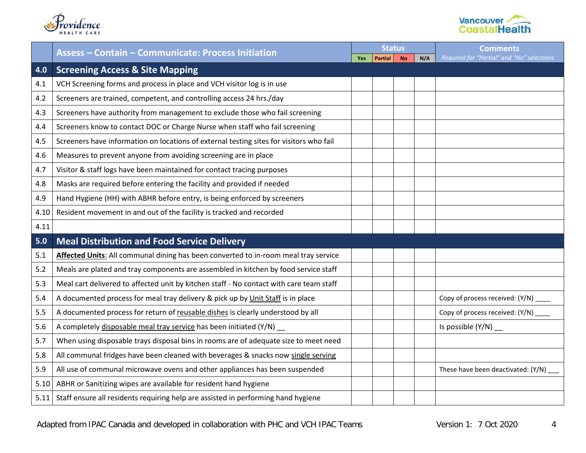



|      | <b>Assess - Contain - Communicate: Process Initiation</b>                               |     | <b>Status</b>  |           |     | <b>Comments</b>                            |
|------|-----------------------------------------------------------------------------------------|-----|----------------|-----------|-----|--------------------------------------------|
|      |                                                                                         | Yes | <b>Partial</b> | <b>No</b> | N/A | Required for "Partial" and "No" selections |
| 4.0  | <b>Screening Access &amp; Site Mapping</b>                                              |     |                |           |     |                                            |
| 4.1  | VCH Screening forms and process in place and VCH visitor log is in use                  |     |                |           |     |                                            |
| 4.2  | Screeners are trained, competent, and controlling access 24 hrs./day                    |     |                |           |     |                                            |
| 4.3  | Screeners have authority from management to exclude those who fail screening            |     |                |           |     |                                            |
| 4.4  | Screeners know to contact DOC or Charge Nurse when staff who fail screening             |     |                |           |     |                                            |
| 4.5  | Screeners have information on locations of external testing sites for visitors who fail |     |                |           |     |                                            |
| 4.6  | Measures to prevent anyone from avoiding screening are in place                         |     |                |           |     |                                            |
| 4.7  | Visitor & staff logs have been maintained for contact tracing purposes                  |     |                |           |     |                                            |
| 4.8  | Masks are required before entering the facility and provided if needed                  |     |                |           |     |                                            |
| 4.9  | Hand Hygiene (HH) with ABHR before entry, is being enforced by screeners                |     |                |           |     |                                            |
| 4.10 | Resident movement in and out of the facility is tracked and recorded                    |     |                |           |     |                                            |
| 4.11 |                                                                                         |     |                |           |     |                                            |
| 5.0  | <b>Meal Distribution and Food Service Delivery</b>                                      |     |                |           |     |                                            |
| 5.1  | Affected Units: All communal dining has been converted to in-room meal tray service     |     |                |           |     |                                            |
| 5.2  | Meals are plated and tray components are assembled in kitchen by food service staff     |     |                |           |     |                                            |
| 5.3  | Meal cart delivered to affected unit by kitchen staff - No contact with care team staff |     |                |           |     |                                            |
| 5.4  | A documented process for meal tray delivery & pick up by Unit Staff is in place         |     |                |           |     | Copy of process received: (Y/N)            |
| 5.5  | A documented process for return of reusable dishes is clearly understood by all         |     |                |           |     | Copy of process received: (Y/N) ____       |
| 5.6  | A completely disposable meal tray service has been initiated (Y/N) _                    |     |                |           |     | Is possible $(Y/N)$ __                     |
| 5.7  | When using disposable trays disposal bins in rooms are of adequate size to meet need    |     |                |           |     |                                            |
| 5.8  | All communal fridges have been cleaned with beverages & snacks now single serving       |     |                |           |     |                                            |
| 5.9  | All use of communal microwave ovens and other appliances has been suspended             |     |                |           |     | These have been deactivated: (Y/N)         |
| 5.10 | ABHR or Sanitizing wipes are available for resident hand hygiene                        |     |                |           |     |                                            |
| 5.11 | Staff ensure all residents requiring help are assisted in performing hand hygiene       |     |                |           |     |                                            |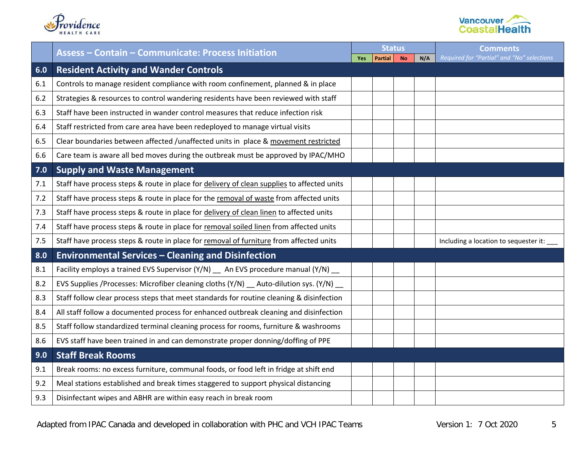



|     | <b>Assess - Contain - Communicate: Process Initiation</b>                                  |            | <b>Status</b>  |           |     | <b>Comments</b>                            |  |
|-----|--------------------------------------------------------------------------------------------|------------|----------------|-----------|-----|--------------------------------------------|--|
|     |                                                                                            | <b>Yes</b> | <b>Partial</b> | <b>No</b> | N/A | Required for "Partial" and "No" selections |  |
| 6.0 | <b>Resident Activity and Wander Controls</b>                                               |            |                |           |     |                                            |  |
| 6.1 | Controls to manage resident compliance with room confinement, planned & in place           |            |                |           |     |                                            |  |
| 6.2 | Strategies & resources to control wandering residents have been reviewed with staff        |            |                |           |     |                                            |  |
| 6.3 | Staff have been instructed in wander control measures that reduce infection risk           |            |                |           |     |                                            |  |
| 6.4 | Staff restricted from care area have been redeployed to manage virtual visits              |            |                |           |     |                                            |  |
| 6.5 | Clear boundaries between affected /unaffected units in place & movement restricted         |            |                |           |     |                                            |  |
| 6.6 | Care team is aware all bed moves during the outbreak must be approved by IPAC/MHO          |            |                |           |     |                                            |  |
| 7.0 | <b>Supply and Waste Management</b>                                                         |            |                |           |     |                                            |  |
| 7.1 | Staff have process steps & route in place for delivery of clean supplies to affected units |            |                |           |     |                                            |  |
| 7.2 | Staff have process steps & route in place for the removal of waste from affected units     |            |                |           |     |                                            |  |
| 7.3 | Staff have process steps & route in place for delivery of clean linen to affected units    |            |                |           |     |                                            |  |
| 7.4 | Staff have process steps & route in place for removal soiled linen from affected units     |            |                |           |     |                                            |  |
| 7.5 | Staff have process steps & route in place for removal of furniture from affected units     |            |                |           |     | Including a location to sequester it:      |  |
| 8.0 | <b>Environmental Services - Cleaning and Disinfection</b>                                  |            |                |           |     |                                            |  |
| 8.1 | Facility employs a trained EVS Supervisor (Y/N) __ An EVS procedure manual (Y/N) __        |            |                |           |     |                                            |  |
| 8.2 | EVS Supplies /Processes: Microfiber cleaning cloths (Y/N) __ Auto-dilution sys. (Y/N) __   |            |                |           |     |                                            |  |
| 8.3 | Staff follow clear process steps that meet standards for routine cleaning & disinfection   |            |                |           |     |                                            |  |
| 8.4 | All staff follow a documented process for enhanced outbreak cleaning and disinfection      |            |                |           |     |                                            |  |
| 8.5 | Staff follow standardized terminal cleaning process for rooms, furniture & washrooms       |            |                |           |     |                                            |  |
| 8.6 | EVS staff have been trained in and can demonstrate proper donning/doffing of PPE           |            |                |           |     |                                            |  |
| 9.0 | <b>Staff Break Rooms</b>                                                                   |            |                |           |     |                                            |  |
| 9.1 | Break rooms: no excess furniture, communal foods, or food left in fridge at shift end      |            |                |           |     |                                            |  |
| 9.2 | Meal stations established and break times staggered to support physical distancing         |            |                |           |     |                                            |  |
| 9.3 | Disinfectant wipes and ABHR are within easy reach in break room                            |            |                |           |     |                                            |  |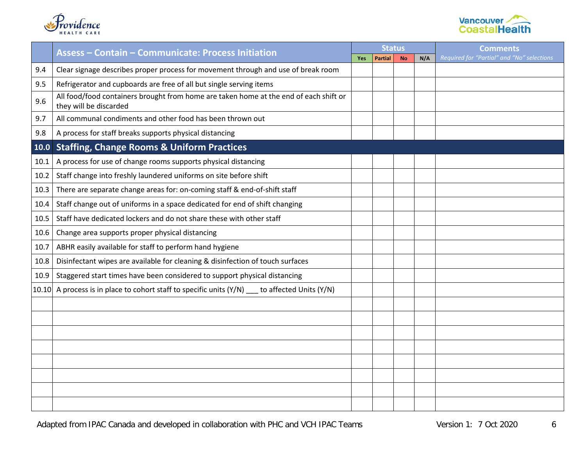



|       | <b>Assess - Contain - Communicate: Process Initiation</b>                                                       | <b>Status</b> |                |           |     | <b>Comments</b>                            |
|-------|-----------------------------------------------------------------------------------------------------------------|---------------|----------------|-----------|-----|--------------------------------------------|
|       |                                                                                                                 | Yes           | <b>Partial</b> | <b>No</b> | N/A | Required for "Partial" and "No" selections |
| 9.4   | Clear signage describes proper process for movement through and use of break room                               |               |                |           |     |                                            |
| 9.5   | Refrigerator and cupboards are free of all but single serving items                                             |               |                |           |     |                                            |
| 9.6   | All food/food containers brought from home are taken home at the end of each shift or<br>they will be discarded |               |                |           |     |                                            |
| 9.7   | All communal condiments and other food has been thrown out                                                      |               |                |           |     |                                            |
| 9.8   | A process for staff breaks supports physical distancing                                                         |               |                |           |     |                                            |
| 10.0  | <b>Staffing, Change Rooms &amp; Uniform Practices</b>                                                           |               |                |           |     |                                            |
| 10.1  | A process for use of change rooms supports physical distancing                                                  |               |                |           |     |                                            |
| 10.2  | Staff change into freshly laundered uniforms on site before shift                                               |               |                |           |     |                                            |
| 10.3  | There are separate change areas for: on-coming staff & end-of-shift staff                                       |               |                |           |     |                                            |
| 10.4  | Staff change out of uniforms in a space dedicated for end of shift changing                                     |               |                |           |     |                                            |
| 10.5  | Staff have dedicated lockers and do not share these with other staff                                            |               |                |           |     |                                            |
| 10.6  | Change area supports proper physical distancing                                                                 |               |                |           |     |                                            |
| 10.7  | ABHR easily available for staff to perform hand hygiene                                                         |               |                |           |     |                                            |
| 10.8  | Disinfectant wipes are available for cleaning & disinfection of touch surfaces                                  |               |                |           |     |                                            |
| 10.9  | Staggered start times have been considered to support physical distancing                                       |               |                |           |     |                                            |
| 10.10 | A process is in place to cohort staff to specific units (Y/N) __ to affected Units (Y/N)                        |               |                |           |     |                                            |
|       |                                                                                                                 |               |                |           |     |                                            |
|       |                                                                                                                 |               |                |           |     |                                            |
|       |                                                                                                                 |               |                |           |     |                                            |
|       |                                                                                                                 |               |                |           |     |                                            |
|       |                                                                                                                 |               |                |           |     |                                            |
|       |                                                                                                                 |               |                |           |     |                                            |
|       |                                                                                                                 |               |                |           |     |                                            |
|       |                                                                                                                 |               |                |           |     |                                            |